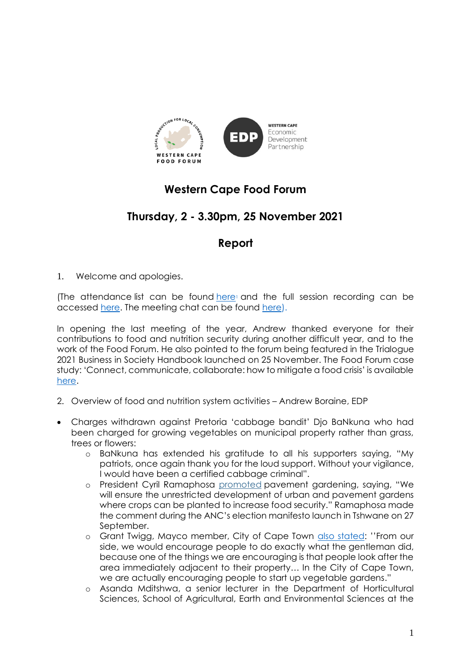

## **Western Cape Food Forum**

## **Thursday, 2 - 3.30pm, 25 November 2021**

### **Report**

1. Welcome and apologies.

(The attendance list can be found  $here$  and the full session recording can be accessed [here.](https://drive.google.com/file/d/170RpXMZNm1JI9iZ8zKiw_Z_t5bJt5KIK/view?usp=sharing) The meeting chat can be found [here\).](https://drive.google.com/file/d/1hHUIKf6UAK0eYkG6hsLPDcj_E9xouUmi/view?usp=sharing)

In opening the last meeting of the year, Andrew thanked everyone for their contributions to food and nutrition security during another difficult year, and to the work of the Food Forum. He also pointed to the forum being featured in the Trialogue 2021 Business in Society Handbook launched on 25 November. The Food Forum case study: 'Connect, communicate, collaborate: how to mitigate a food crisis' is available [here.](https://bit.ly/3p2PMjM)

- 2. Overview of food and nutrition system activities Andrew Boraine, EDP
- Charges withdrawn against Pretoria 'cabbage bandit' Djo BaNkuna who had been charged for growing vegetables on municipal property rather than grass, trees or flowers:
	- o BaNkuna has extended his gratitude to all his supporters saying, "My patriots, once again thank you for the loud support. Without your vigilance, I would have been a certified cabbage criminal".
	- o President Cyril Ramaphosa [promoted](https://www.dailymaverick.co.za/article/2021-09-27-anc-manifesto-launch-ramaphosa-admits-mistakes-says-party-will-do-better/) pavement gardening, saying, "We will ensure the unrestricted development of urban and pavement gardens where crops can be planted to increase food security." Ramaphosa made the comment during the ANC's election manifesto launch in Tshwane on 27 September.
	- o Grant Twigg, Mayco member, City of Cape Town [also stated](https://www.iol.co.za/news/south-africa/western-cape/city-of-cape-town-encourages-people-like-cabbage-bandit-to-start-a-vegetable-garden-in-unused-spaces-80e634bc-e1f4-40cb-a095-909a39a9b609): ''From our side, we would encourage people to do exactly what the gentleman did, because one of the things we are encouraging is that people look after the area immediately adjacent to their property… In the City of Cape Town, we are actually encouraging people to start up vegetable gardens."
	- o Asanda Mditshwa, a senior lecturer in the Department of Horticultural Sciences, School of Agricultural, Earth and Environmental Sciences at the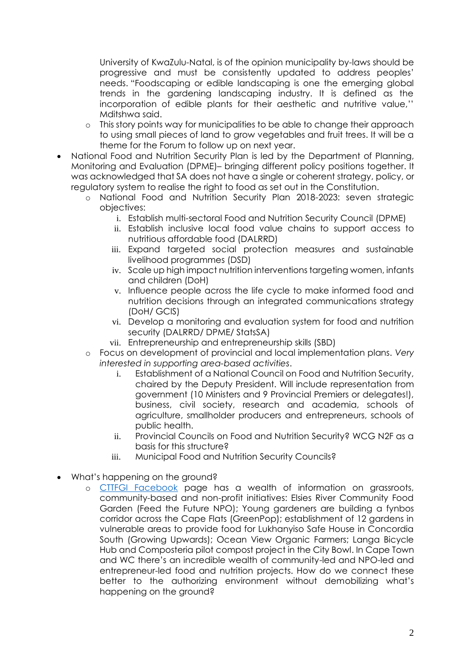University of KwaZulu-Natal, is of the opinion municipality by-laws should be progressive and must be consistently updated to address peoples' needs. "Foodscaping or edible landscaping is one the emerging global trends in the gardening landscaping industry. It is defined as the incorporation of edible plants for their aesthetic and nutritive value,'' Mditshwa said.

- o This story points way for municipalities to be able to change their approach to using small pieces of land to grow vegetables and fruit trees. It will be a theme for the Forum to follow up on next year.
- National Food and Nutrition Security Plan is led by the Department of Planning, Monitoring and Evaluation (DPME)– bringing different policy positions together. It was acknowledged that SA does not have a single or coherent strategy, policy, or regulatory system to realise the right to food as set out in the Constitution.
	- o National Food and Nutrition Security Plan 2018-2023: seven strategic objectives:
		- i. Establish multi-sectoral Food and Nutrition Security Council (DPME)
		- ii. Establish inclusive local food value chains to support access to nutritious affordable food (DALRRD)
		- iii. Expand targeted social protection measures and sustainable livelihood programmes (DSD)
		- iv. Scale up high impact nutrition interventions targeting women, infants and children (DoH)
		- v. Influence people across the life cycle to make informed food and nutrition decisions through an integrated communications strategy (DoH/ GCIS)
		- vi. Develop a monitoring and evaluation system for food and nutrition security (DALRRD/ DPME/ StatsSA)
		- vii. Entrepreneurship and entrepreneurship skills (SBD)
	- o Focus on development of provincial and local implementation plans. *Very interested in supporting area-based activities*.
		- i. Establishment of a National Council on Food and Nutrition Security, chaired by the Deputy President. Will include representation from government (10 Ministers and 9 Provincial Premiers or delegates!), business, civil society, research and academia, schools of agriculture, smallholder producers and entrepreneurs, schools of public health.
		- ii. Provincial Councils on Food and Nutrition Security? WCG N2F as a basis for this structure?
		- iii. Municipal Food and Nutrition Security Councils?
- What's happening on the ground?
	- o [CTTFGI Facebook](https://www.facebook.com/groups/670655126826113/posts/898822190676071/) page has a wealth of information on grassroots, community-based and non-profit initiatives: Elsies River Community Food Garden (Feed the Future NPO); Young gardeners are building a fynbos corridor across the Cape Flats (GreenPop); establishment of 12 gardens in vulnerable areas to provide food for Lukhanyiso Safe House in Concordia South (Growing Upwards); Ocean View Organic Farmers; Langa Bicycle Hub and Composteria pilot compost project in the City Bowl. In Cape Town and WC there's an incredible wealth of community-led and NPO-led and entrepreneur-led food and nutrition projects. How do we connect these better to the authorizing environment without demobilizing what's happening on the ground?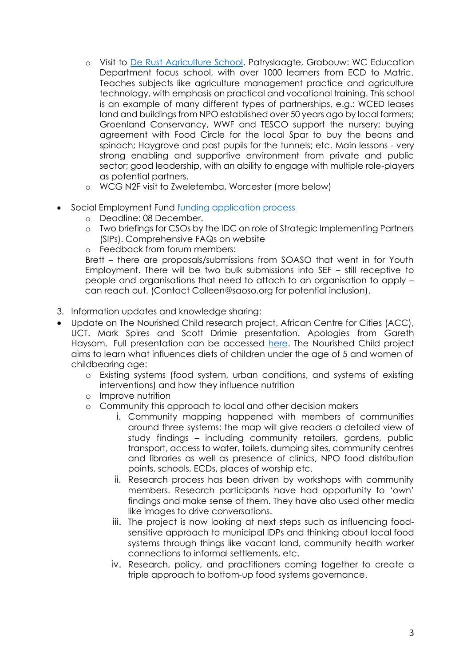- o Visit to [De Rust Agriculture School,](https://www.facebook.com/pages/category/Public-School/De-Rust-Futura-Academy-2241700362808397/) Patryslaagte, Grabouw: WC Education Department focus school, with over 1000 learners from ECD to Matric. Teaches subjects like agriculture management practice and agriculture technology, with emphasis on practical and vocational training. This school is an example of many different types of partnerships, e.g.: WCED leases land and buildings from NPO established over 50 years ago by local farmers; Groenland Conservancy, WWF and TESCO support the nursery; buying agreement with Food Circle for the local Spar to buy the beans and spinach; Haygrove and past pupils for the tunnels; etc. Main lessons - very strong enabling and supportive environment from private and public sector; good leadership, with an ability to engage with multiple role-players as potential partners.
- o WCG N2F visit to Zweletemba, Worcester (more below)
- Social Employment Fund [funding application process](https://www.idc.co.za/sef/)
	- o Deadline: 08 December.
	- o Two briefings for CSOs by the IDC on role of Strategic Implementing Partners (SIPs). Comprehensive FAQs on website
	- o Feedback from forum members:

Brett – there are proposals/submissions from SOASO that went in for Youth Employment. There will be two bulk submissions into SEF – still receptive to people and organisations that need to attach to an organisation to apply – can reach out. (Contact Colleen@saoso.org for potential inclusion).

- 3. Information updates and knowledge sharing:
- Update on The Nourished Child research project, African Centre for Cities (ACC), UCT. Mark Spires and Scott Drimie presentation. Apologies from Gareth Haysom. Full presentation can be accessed [here.](https://drive.google.com/file/d/18GZvMyMbcwSBkKHX1buZ1AUIqJ5Yusar/view?usp=sharing) The Nourished Child project aims to learn what influences diets of children under the age of 5 and women of childbearing age:
	- o Existing systems (food system, urban conditions, and systems of existing interventions) and how they influence nutrition
	- o Improve nutrition
	- o Community this approach to local and other decision makers
		- i. Community mapping happened with members of communities around three systems: the map will give readers a detailed view of study findings – including community retailers, gardens, public transport, access to water, toilets, dumping sites, community centres and libraries as well as presence of clinics, NPO food distribution points, schools, ECDs, places of worship etc.
		- ii. Research process has been driven by workshops with community members. Research participants have had opportunity to 'own' findings and make sense of them. They have also used other media like images to drive conversations.
		- iii. The project is now looking at next steps such as influencing foodsensitive approach to municipal IDPs and thinking about local food systems through things like vacant land, community health worker connections to informal settlements, etc.
		- iv. Research, policy, and practitioners coming together to create a triple approach to bottom-up food systems governance.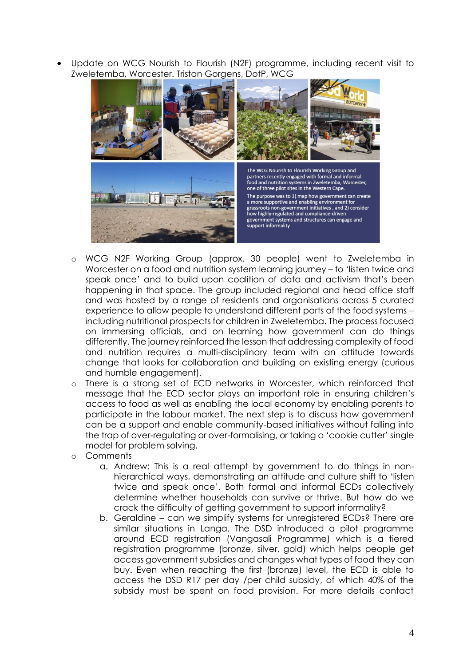• Update on WCG Nourish to Flourish (N2F) programme, including recent visit to Zweletemba, Worcester. Tristan Gorgens, DotP, WCG



- WCG N2F Working Group (approx. 30 people) went to Zweletemba in Worcester on a food and nutrition system learning journey – to 'listen twice and speak once' and to build upon coalition of data and activism that's been happening in that space. The group included regional and head office staff and was hosted by a range of residents and organisations across 5 curated experience to allow people to understand different parts of the food systems – including nutritional prospects for children in Zweletemba. The process focused on immersing officials, and on learning how government can do things differently. The journey reinforced the lesson that addressing complexity of food and nutrition requires a multi-disciplinary team with an attitude towards change that looks for collaboration and building on existing energy (curious and humble engagement).
- o There is a strong set of ECD networks in Worcester, which reinforced that message that the ECD sector plays an important role in ensuring children's access to food as well as enabling the local economy by enabling parents to participate in the labour market. The next step is to discuss how government can be a support and enable community-based initiatives without falling into the trap of over-regulating or over-formalising, or taking a 'cookie cutter' single model for problem solving.
- o Comments
	- a. Andrew: This is a real attempt by government to do things in nonhierarchical ways, demonstrating an attitude and culture shift to 'listen twice and speak once'. Both formal and informal ECDs collectively determine whether households can survive or thrive. But how do we crack the difficulty of getting government to support informality?
	- b. Geraldine can we simplify systems for unregistered ECDs? There are similar situations in Langa. The DSD introduced a pilot programme around ECD registration (Vangasali Programme) which is a tiered registration programme (bronze, silver, gold) which helps people get access government subsidies and changes what types of food they can buy. Even when reaching the first (bronze) level, the ECD is able to access the DSD R17 per day /per child subsidy, of which 40% of the subsidy must be spent on food provision. For more details contact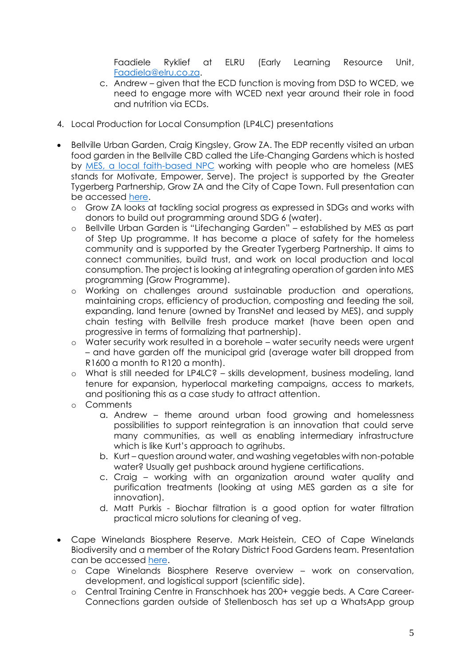Faadiele Ryklief at ELRU (Early Learning Resource Unit, [Faadiela@elru.co.za.](mailto:Faadiela@elru.co.za)

- c. Andrew given that the ECD function is moving from DSD to WCED, we need to engage more with WCED next year around their role in food and nutrition via ECDs.
- 4. Local Production for Local Consumption (LP4LC) presentations
- Bellville Urban Garden, Craig Kingsley, Grow ZA. The EDP recently visited an urban food garden in the Bellville CBD called the Life-Changing Gardens which is hosted by [MES, a local faith-based NPC](https://mes.org.za/about-mes/) working with people who are homeless (MES stands for Motivate, Empower, Serve). The project is supported by the Greater Tygerberg Partnership, Grow ZA and the City of Cape Town. Full presentation can be accessed [here.](https://drive.google.com/file/d/12g7NmQN-GiFE6QH4zc2kGfJsjRTJrSWk/view?usp=sharing)
	- o Grow ZA looks at tackling social progress as expressed in SDGs and works with donors to build out programming around SDG 6 (water).
	- Bellville Urban Garden is "Lifechanging Garden" established by MES as part of Step Up programme. It has become a place of safety for the homeless community and is supported by the Greater Tygerberg Partnership. It aims to connect communities, build trust, and work on local production and local consumption. The project is looking at integrating operation of garden into MES programming (Grow Programme).
	- o Working on challenges around sustainable production and operations, maintaining crops, efficiency of production, composting and feeding the soil, expanding, land tenure (owned by TransNet and leased by MES), and supply chain testing with Bellville fresh produce market (have been open and progressive in terms of formalizing that partnership).
	- o Water security work resulted in a borehole water security needs were urgent – and have garden off the municipal grid (average water bill dropped from R1600 a month to R120 a month).
	- o What is still needed for LP4LC? skills development, business modeling, land tenure for expansion, hyperlocal marketing campaigns, access to markets, and positioning this as a case study to attract attention.
	- o Comments
		- a. Andrew theme around urban food growing and homelessness possibilities to support reintegration is an innovation that could serve many communities, as well as enabling intermediary infrastructure which is like Kurt's approach to agrihubs.
		- b. Kurt question around water, and washing vegetables with non-potable water? Usually get pushback around hygiene certifications.
		- c. Craig working with an organization around water quality and purification treatments (looking at using MES garden as a site for innovation).
		- d. Matt Purkis Biochar filtration is a good option for water filtration practical micro solutions for cleaning of veg.
- Cape Winelands Biosphere Reserve. Mark Heistein, CEO of Cape Winelands Biodiversity and a member of the Rotary District Food Gardens team. Presentation can be accessed [here.](https://docs.google.com/presentation/d/1vKfwxSP1lloJbhMp9jHnXuGICgKqGemP/edit?usp=sharing&ouid=114253026864127630125&rtpof=true&sd=true)
	- o Cape Winelands Biosphere Reserve overview work on conservation, development, and logistical support (scientific side).
	- o Central Training Centre in Franschhoek has 200+ veggie beds. A Care Career-Connections garden outside of Stellenbosch has set up a WhatsApp group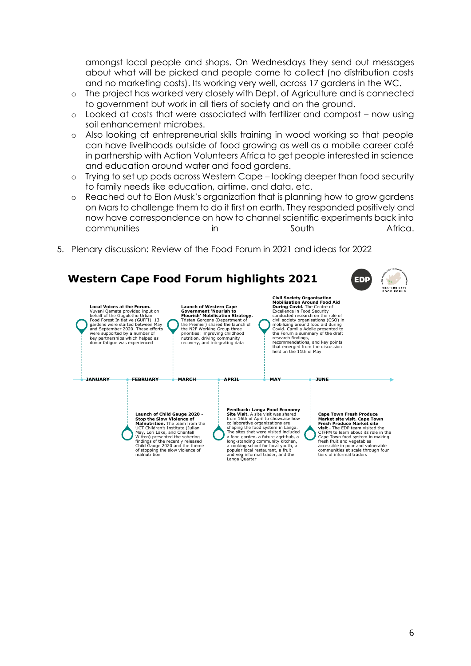amongst local people and shops. On Wednesdays they send out messages about what will be picked and people come to collect (no distribution costs and no marketing costs). Its working very well, across 17 gardens in the WC.

- o The project has worked very closely with Dept. of Agriculture and is connected to government but work in all tiers of society and on the ground.
- o Looked at costs that were associated with fertilizer and compost now using soil enhancement microbes.
- o Also looking at entrepreneurial skills training in wood working so that people can have livelihoods outside of food growing as well as a mobile career café in partnership with Action Volunteers Africa to get people interested in science and education around water and food gardens.
- o Trying to set up pods across Western Cape looking deeper than food security to family needs like education, airtime, and data, etc.
- o Reached out to Elon Musk's organization that is planning how to grow gardens on Mars to challenge them to do it first on earth. They responded positively and now have correspondence on how to channel scientific experiments back into communities in South Africa.
- 5. Plenary discussion: Review of the Food Forum in 2021 and ideas for 2022

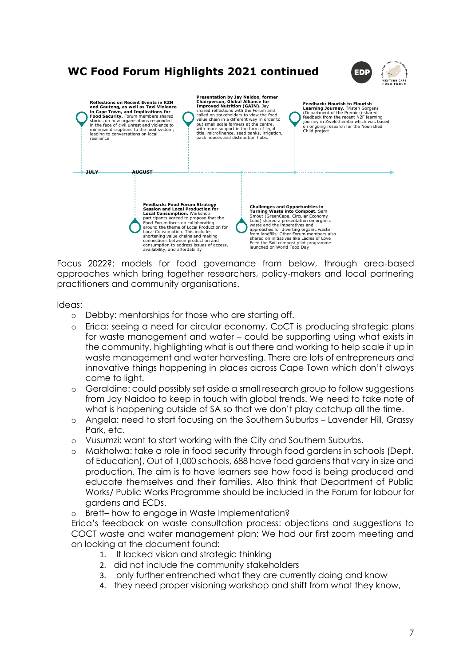# **WC Food Forum Highlights 2021 continued**





Focus 2022?: models for food governance from below, through area-based approaches which bring together researchers, policy-makers and local partnering practitioners and community organisations.

#### Ideas:

- o Debby: mentorships for those who are starting off.
- o Erica: seeing a need for circular economy, CoCT is producing strategic plans for waste management and water – could be supporting using what exists in the community, highlighting what is out there and working to help scale it up in waste management and water harvesting. There are lots of entrepreneurs and innovative things happening in places across Cape Town which don't always come to light.
- o Geraldine: could possibly set aside a small research group to follow suggestions from Jay Naidoo to keep in touch with global trends. We need to take note of what is happening outside of SA so that we don't play catchup all the time.
- o Angela: need to start focusing on the Southern Suburbs Lavender Hill, Grassy Park, etc.
- o Vusumzi: want to start working with the City and Southern Suburbs.
- o Makholwa: take a role in food security through food gardens in schools (Dept. of Education), Out of 1,000 schools, 688 have food gardens that vary in size and production. The aim is to have learners see how food is being produced and educate themselves and their families. Also think that Department of Public Works/ Public Works Programme should be included in the Forum for labour for gardens and ECDs.
- o Brett– how to engage in Waste Implementation?

Erica's feedback on waste consultation process: objections and suggestions to COCT waste and water management plan: We had our first zoom meeting and on looking at the document found:

- 1. It lacked vision and strategic thinking
- 2. did not include the community stakeholders
- 3. only further entrenched what they are currently doing and know
- 4. they need proper visioning workshop and shift from what they know,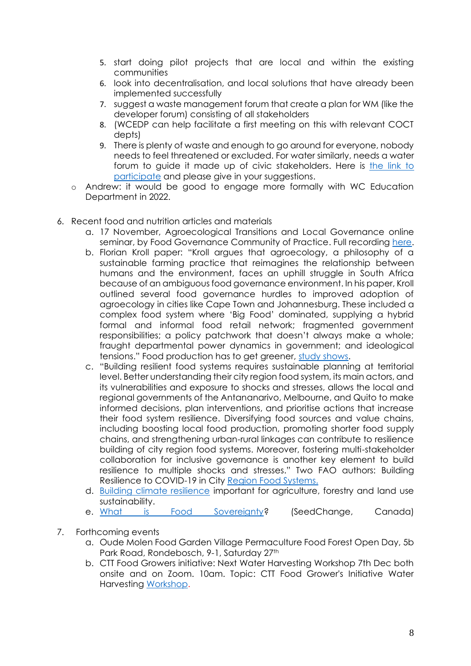- 5. start doing pilot projects that are local and within the existing communities
- 6. look into decentralisation, and local solutions that have already been implemented successfully
- 7. suggest a waste management forum that create a plan for WM (like the developer forum) consisting of all stakeholders
- 8. (WCEDP can help facilitate a first meeting on this with relevant COCT depts)
- 9. There is plenty of waste and enough to go around for everyone, nobody needs to feel threatened or excluded. For water similarly, needs a water forum to guide it made up of civic stakeholders. Here is [the link to](https://www.capetown.gov.za/City-Connect/Have-your-say/Issues-open-for-public-comment/draft-2022-2027-water-and-waste-sector-plans)  [participate](https://www.capetown.gov.za/City-Connect/Have-your-say/Issues-open-for-public-comment/draft-2022-2027-water-and-waste-sector-plans) and please give in your suggestions.
- o Andrew: it would be good to engage more formally with WC Education Department in 2022.
- 6. Recent food and nutrition articles and materials
	- a. 17 November, Agroecological Transitions and Local Governance online seminar, by Food Governance Community of Practice. Full recording [here.](https://drive.google.com/file/d/1V9mK17-xp4PRaa3Iwo4lJ01g4Zn3Q-cw/view)
	- b. Florian Kroll paper: "Kroll argues that agroecology, a philosophy of a sustainable farming practice that reimagines the relationship between humans and the environment, faces an uphill struggle in South Africa because of an ambiguous food governance environment. In his paper, Kroll outlined several food governance hurdles to improved adoption of agroecology in cities like Cape Town and Johannesburg. These included a complex food system where 'Big Food' dominated, supplying a hybrid formal and informal food retail network; fragmented government responsibilities; a policy patchwork that doesn't always make a whole; fraught departmental power dynamics in government; and ideological tensions." Food production has to get greener, [study shows.](https://www.iol.co.za/capetimes/news/food-production-has-to-get-greener-study-shows-8262fa0a-ccac-4356-b0df-ab71e9081679)
	- c. "Building resilient food systems requires sustainable planning at territorial level. Better understanding their city region food system, its main actors, and its vulnerabilities and exposure to shocks and stresses, allows the local and regional governments of the Antananarivo, Melbourne, and Quito to make informed decisions, plan interventions, and prioritise actions that increase their food system resilience. Diversifying food sources and value chains, including boosting local food production, promoting shorter food supply chains, and strengthening urban-rural linkages can contribute to resilience building of city region food systems. Moreover, fostering multi-stakeholder collaboration for inclusive governance is another key element to build resilience to multiple shocks and stresses." Two FAO authors: Building Resilience to COVID-19 in City [Region Food Systems.](https://www.urbanet.info/city-region-food-systems/)
	- d. [Building climate resilience](https://www.engineeringnews.co.za/article/building-climate-resilience-important-for-agriculture-forestry-and-land-use-sustainability-2021-11-18) important for agriculture, forestry and land use sustainability.
	- e. [What is Food Sovereignty?](https://weseedchange.org/food-sovereignty/) (SeedChange, Canada)
- 7. Forthcoming events
	- a. Oude Molen Food Garden Village Permaculture Food Forest Open Day, 5b Park Road, Rondebosch, 9-1, Saturday 27th
	- b. CTT Food Growers initiative: Next Water Harvesting Workshop 7th Dec both onsite and on Zoom. 10am. Topic: CTT Food Grower's Initiative Water Harvesting [Workshop.](https://us06web.zoom.us/j/89301695365?pwd=ckxSbmVUUWFCdkxxN040a1RQejR2UT09)